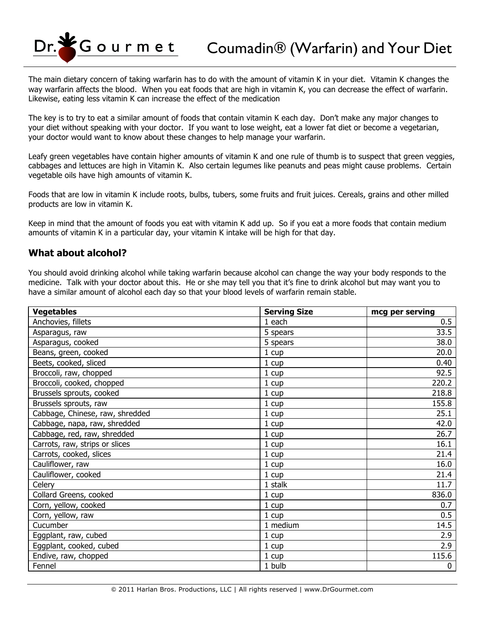Gourmet

The main dietary concern of taking warfarin has to do with the amount of vitamin K in your diet. Vitamin K changes the way warfarin affects the blood. When you eat foods that are high in vitamin K, you can decrease the effect of warfarin. Likewise, eating less vitamin K can increase the effect of the medication

The key is to try to eat a similar amount of foods that contain vitamin K each day. Don't make any major changes to your diet without speaking with your doctor. If you want to lose weight, eat a lower fat diet or become a vegetarian, your doctor would want to know about these changes to help manage your warfarin.

Leafy green vegetables have contain higher amounts of vitamin K and one rule of thumb is to suspect that green veggies, cabbages and lettuces are high in Vitamin K. Also certain legumes like peanuts and peas might cause problems. Certain vegetable oils have high amounts of vitamin K.

Foods that are low in vitamin K include roots, bulbs, tubers, some fruits and fruit juices. Cereals, grains and other milled products are low in vitamin K.

Keep in mind that the amount of foods you eat with vitamin K add up. So if you eat a more foods that contain medium amounts of vitamin K in a particular day, your vitamin K intake will be high for that day.

## **What about alcohol?**

You should avoid drinking alcohol while taking warfarin because alcohol can change the way your body responds to the medicine. Talk with your doctor about this. He or she may tell you that it's fine to drink alcohol but may want you to have a similar amount of alcohol each day so that your blood levels of warfarin remain stable.

| <b>Vegetables</b>               | <b>Serving Size</b> | mcg per serving |
|---------------------------------|---------------------|-----------------|
| Anchovies, fillets              | 1 each              | 0.5             |
| Asparagus, raw                  | 5 spears            | 33.5            |
| Asparagus, cooked               | 5 spears            | 38.0            |
| Beans, green, cooked            | 1 cup               | 20.0            |
| Beets, cooked, sliced           | 1 cup               | 0.40            |
| Broccoli, raw, chopped          | 1 cup               | 92.5            |
| Broccoli, cooked, chopped       | 1 cup               | 220.2           |
| Brussels sprouts, cooked        | 1 cup               | 218.8           |
| Brussels sprouts, raw           | 1 cup               | 155.8           |
| Cabbage, Chinese, raw, shredded | 1 cup               | 25.1            |
| Cabbage, napa, raw, shredded    | 1 cup               | 42.0            |
| Cabbage, red, raw, shredded     | 1 cup               | 26.7            |
| Carrots, raw, strips or slices  | 1 cup               | 16.1            |
| Carrots, cooked, slices         | 1 cup               | 21.4            |
| Cauliflower, raw                | 1 cup               | 16.0            |
| Cauliflower, cooked             | 1 cup               | 21.4            |
| Celery                          | 1 stalk             | 11.7            |
| Collard Greens, cooked          | 1 cup               | 836.0           |
| Corn, yellow, cooked            | 1 cup               | 0.7             |
| Corn, yellow, raw               | 1 cup               | 0.5             |
| Cucumber                        | 1 medium            | 14.5            |
| Eggplant, raw, cubed            | 1 cup               | 2.9             |
| Eggplant, cooked, cubed         | 1 cup               | 2.9             |
| Endive, raw, chopped            | 1 cup               | 115.6           |
| Fennel                          | 1 bulb              | 0               |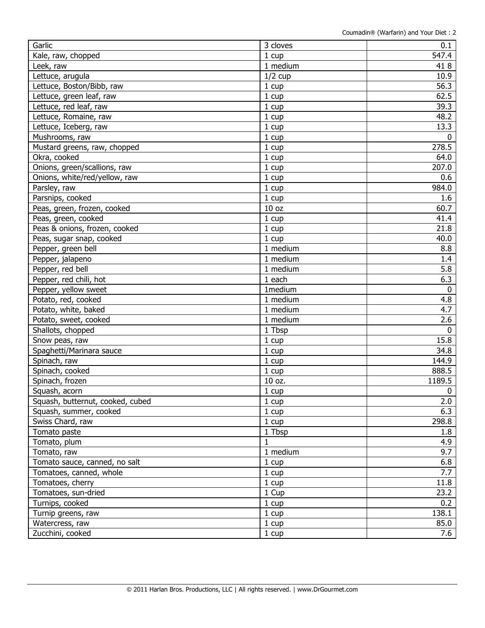| Garlic                           | 3 cloves         | 0.1         |
|----------------------------------|------------------|-------------|
| Kale, raw, chopped               | 1 cup            | 547.4       |
| Leek, raw                        | 1 medium         | 418         |
| Lettuce, arugula                 | $1/2$ cup        | 10.9        |
| Lettuce, Boston/Bibb, raw        | 1 cup            | 56.3        |
| Lettuce, green leaf, raw         | 1 cup            | 62.5        |
| Lettuce, red leaf, raw           | 1 cup            | 39.3        |
| Lettuce, Romaine, raw            | 1 cup            | 48.2        |
| Lettuce, Iceberg, raw            | 1 cup            | 13.3        |
| Mushrooms, raw                   | 1 cup            | 0           |
| Mustard greens, raw, chopped     | 1 cup            | 278.5       |
| Okra, cooked                     | 1 cup            | 64.0        |
| Onions, green/scallions, raw     | 1 cup            | 207.0       |
| Onions, white/red/yellow, raw    | 1 cup            | 0.6         |
| Parsley, raw                     | 1 cup            | 984.0       |
| Parsnips, cooked                 | 1 cup            | 1.6         |
| Peas, green, frozen, cooked      | 10 <sub>oz</sub> | 60.7        |
| Peas, green, cooked              | 1 cup            | 41.4        |
| Peas & onions, frozen, cooked    | 1 cup            | 21.8        |
| Peas, sugar snap, cooked         | 1 cup            | 40.0        |
| Pepper, green bell               | 1 medium         | 8.8         |
| Pepper, jalapeno                 | 1 medium         | 1.4         |
| Pepper, red bell                 | 1 medium         | 5.8         |
| Pepper, red chili, hot           | 1 each           | 6.3         |
| Pepper, yellow sweet             | 1medium          | $\mathbf 0$ |
| Potato, red, cooked              | 1 medium         | 4.8         |
| Potato, white, baked             | 1 medium         | 4.7         |
| Potato, sweet, cooked            | 1 medium         | 2.6         |
| Shallots, chopped                | 1 Tbsp           | 0           |
| Snow peas, raw                   | 1 cup            | 15.8        |
| Spaghetti/Marinara sauce         | 1 cup            | 34.8        |
| Spinach, raw                     | 1 cup            | 144.9       |
| Spinach, cooked                  | 1 cup            | 888.5       |
| Spinach, frozen                  | 10 oz.           | 1189.5      |
| Squash, acorn                    | 1 cup            | 0           |
| Squash, butternut, cooked, cubed | 1 cup            | 2.0         |
| Squash, summer, cooked           | 1 cup            | 6.3         |
| Swiss Chard, raw                 | 1 cup            | 298.8       |
| Tomato paste                     | 1 Tbsp           | 1.8         |
| Tomato, plum                     | $\mathbf{1}$     | 4.9         |
| Tomato, raw                      | 1 medium         | 9.7         |
| Tomato sauce, canned, no salt    | 1 cup            | 6.8         |
| Tomatoes, canned, whole          | 1 cup            | 7.7         |
| Tomatoes, cherry                 | 1 cup            | 11.8        |
| Tomatoes, sun-dried              | 1 Cup            | 23.2        |
| Turnips, cooked                  | 1 cup            | 0.2         |
| Turnip greens, raw               | 1 cup            | 138.1       |
| Watercress, raw                  | 1 cup            | 85.0        |
| Zucchini, cooked                 | 1 cup            | 7.6         |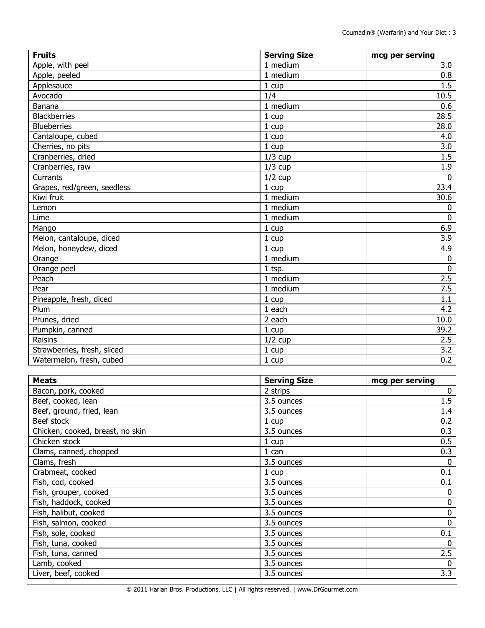| <b>Fruits</b>               | <b>Serving Size</b> | mcg per serving |
|-----------------------------|---------------------|-----------------|
| Apple, with peel            | 1 medium            | 3.0             |
| Apple, peeled               | 1 medium            | 0.8             |
| Applesauce                  | 1 cup               | 1.5             |
| Avocado                     | 1/4                 | 10.5            |
| Banana                      | 1 medium            | 0.6             |
| <b>Blackberries</b>         | 1 cup               | 28.5            |
| <b>Blueberries</b>          | 1 cup               | 28.0            |
| Cantaloupe, cubed           | 1 cup               | 4.0             |
| Cherries, no pits           | 1 cup               | 3.0             |
| Cranberries, dried          | $1/3$ cup           | 1.5             |
| Cranberries, raw            | $1/3$ cup           | 1.9             |
| Currants                    | $1/2$ cup           | $\Omega$        |
| Grapes, red/green, seedless | 1 cup               | 23.4            |
| Kiwi fruit                  | 1 medium            | 30.6            |
| Lemon                       | 1 medium            | $\mathbf 0$     |
| Lime                        | 1 medium            | $\mathbf 0$     |
| Mango                       | 1 cup               | 6.9             |
| Melon, cantaloupe, diced    | 1 cup               | 3.9             |
| Melon, honeydew, diced      | 1 cup               | 4.9             |
| Orange                      | 1 medium            | $\mathbf 0$     |
| Orange peel                 | 1 tsp.              | $\mathbf 0$     |
| Peach                       | 1 medium            | 2.5             |
| Pear                        | 1 medium            | 7.5             |
| Pineapple, fresh, diced     | 1 cup               | 1.1             |
| Plum                        | 1 each              | 4.2             |
| Prunes, dried               | 2 each              | 10.0            |
| Pumpkin, canned             | 1 cup               | 39.2            |
| Raisins                     | $1/2$ cup           | 2.5             |
| Strawberries, fresh, sliced | 1 cup               | 3.2             |
| Watermelon, fresh, cubed    | 1 cup               | 0.2             |

| <b>Meats</b>                     | <b>Serving Size</b> | mcg per serving |
|----------------------------------|---------------------|-----------------|
| Bacon, pork, cooked              | 2 strips            | $\mathbf{0}$    |
| Beef, cooked, lean               | 3.5 ounces          | 1.5             |
| Beef, ground, fried, lean        | 3.5 ounces          | 1.4             |
| Beef stock                       | 1 cup               | 0.2             |
| Chicken, cooked, breast, no skin | 3.5 ounces          | 0.3             |
| Chicken stock                    | $1 \text{ cup}$     | 0.5             |
| Clams, canned, chopped           | 1 can               | 0.3             |
| Clams, fresh                     | 3.5 ounces          | 0               |
| Crabmeat, cooked                 | 1 cup               | 0.1             |
| Fish, cod, cooked                | 3.5 ounces          | 0.1             |
| Fish, grouper, cooked            | 3.5 ounces          | 0               |
| Fish, haddock, cooked            | 3.5 ounces          | 0               |
| Fish, halibut, cooked            | 3.5 ounces          | 0               |
| Fish, salmon, cooked             | 3.5 ounces          | $\mathbf 0$     |
| Fish, sole, cooked               | 3.5 ounces          | 0.1             |
| Fish, tuna, cooked               | 3.5 ounces          | $\mathbf 0$     |
| Fish, tuna, canned               | 3.5 ounces          | 2.5             |
| Lamb, cooked                     | 3.5 ounces          | 0               |
| Liver, beef, cooked              | 3.5 ounces          | 3.3             |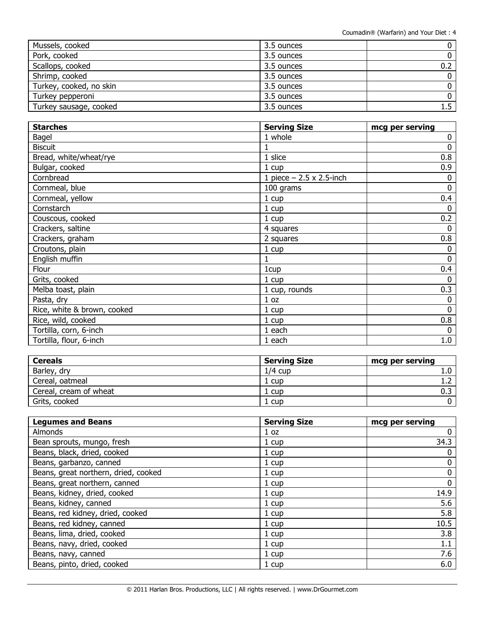| Mussels, cooked         | 3.5 ounces |     |
|-------------------------|------------|-----|
| Pork, cooked            | 3.5 ounces |     |
| Scallops, cooked        | 3.5 ounces | 0.2 |
| Shrimp, cooked          | 3.5 ounces |     |
| Turkey, cooked, no skin | 3.5 ounces |     |
| Turkey pepperoni        | 3.5 ounces |     |
| Turkey sausage, cooked  | 3.5 ounces |     |

| <b>Starches</b>             | <b>Serving Size</b>             | mcg per serving |
|-----------------------------|---------------------------------|-----------------|
| Bagel                       | 1 whole                         | 0               |
| <b>Biscuit</b>              |                                 | 0               |
| Bread, white/wheat/rye      | 1 slice                         | 0.8             |
| Bulgar, cooked              | 1 cup                           | 0.9             |
| Cornbread                   | 1 piece $-2.5 \times 2.5$ -inch | 0               |
| Cornmeal, blue              | 100 grams                       | $\mathbf{0}$    |
| Cornmeal, yellow            | $1 \text{ cup}$                 | 0.4             |
| Cornstarch                  | 1 cup                           | 0               |
| Couscous, cooked            | 1 cup                           | 0.2             |
| Crackers, saltine           | 4 squares                       | 0               |
| Crackers, graham            | 2 squares                       | 0.8             |
| Croutons, plain             | 1 cup                           | 0               |
| English muffin              |                                 | 0               |
| Flour                       | 1cup                            | 0.4             |
| Grits, cooked               | 1 cup                           | 0               |
| Melba toast, plain          | 1 cup, rounds                   | 0.3             |
| Pasta, dry                  | 1 <sub>oz</sub>                 | 0               |
| Rice, white & brown, cooked | 1 cup                           | 0               |
| Rice, wild, cooked          | 1 cup                           | 0.8             |
| Tortilla, corn, 6-inch      | 1 each                          | 0               |
| Tortilla, flour, 6-inch     | 1 each                          | 1.0             |

| <b>Cereals</b>         | <b>Serving Size</b> | mcg per serving  |
|------------------------|---------------------|------------------|
| Barley, dry            | $1/4$ cup           | 1.0 <sub>1</sub> |
| Cereal, oatmeal        | 1 cup               |                  |
| Cereal, cream of wheat | 1 cup               |                  |
| Grits, cooked          | 1 cup               |                  |

| <b>Legumes and Beans</b>             | <b>Serving Size</b> | mcg per serving |
|--------------------------------------|---------------------|-----------------|
| <b>Almonds</b>                       | 1 <sub>oz</sub>     | 0               |
| Bean sprouts, mungo, fresh           | 1 cup               | 34.3            |
| Beans, black, dried, cooked          | 1 cup               | 0               |
| Beans, garbanzo, canned              | 1 cup               | 0               |
| Beans, great northern, dried, cooked | $1 \text{ cup}$     | 0               |
| Beans, great northern, canned        | 1 cup               | 0               |
| Beans, kidney, dried, cooked         | 1 cup               | 14.9            |
| Beans, kidney, canned                | 1 cup               | 5.6             |
| Beans, red kidney, dried, cooked     | 1 cup               | 5.8             |
| Beans, red kidney, canned            | 1 cup               | 10.5            |
| Beans, lima, dried, cooked           | 1 cup               | 3.8             |
| Beans, navy, dried, cooked           | 1 cup               | 1.1             |
| Beans, navy, canned                  | 1 cup               | 7.6             |
| Beans, pinto, dried, cooked          | 1 cup               | 6.0             |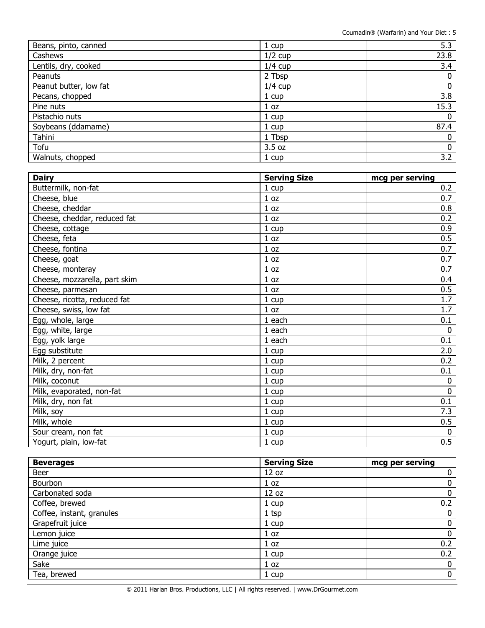| Beans, pinto, canned   | 1 cup           | 5.3         |
|------------------------|-----------------|-------------|
| Cashews                | $1/2$ cup       | 23.8        |
| Lentils, dry, cooked   | $1/4$ cup       | 3.4         |
| Peanuts                | 2 Tbsp          | 0           |
| Peanut butter, low fat | $1/4$ cup       | 0           |
| Pecans, chopped        | 1 cup           | 3.8         |
| Pine nuts              | 1 <sub>oz</sub> | 15.3        |
| Pistachio nuts         | 1 cup           | 0           |
| Soybeans (ddamame)     | 1 cup           | 87.4        |
| Tahini                 | 1 Tbsp          | 0           |
| Tofu                   | 3.5 oz          | $\mathbf 0$ |
| Walnuts, chopped       | 1 cup           | 3.2         |

| <b>Dairy</b>                  | <b>Serving Size</b> | mcg per serving |
|-------------------------------|---------------------|-----------------|
| Buttermilk, non-fat           | 1 cup               | 0.2             |
| Cheese, blue                  | 1 <sub>oz</sub>     | 0.7             |
| Cheese, cheddar               | 1 oz                | 0.8             |
| Cheese, cheddar, reduced fat  | 1 oz                | 0.2             |
| Cheese, cottage               | 1 cup               | 0.9             |
| Cheese, feta                  | 1 <sub>oz</sub>     | 0.5             |
| Cheese, fontina               | 1 oz                | 0.7             |
| Cheese, goat                  | 1 oz                | 0.7             |
| Cheese, monteray              | 1 <sub>oz</sub>     | 0.7             |
| Cheese, mozzarella, part skim | 1 <sub>oz</sub>     | 0.4             |
| Cheese, parmesan              | 1 <sub>oz</sub>     | 0.5             |
| Cheese, ricotta, reduced fat  | 1 cup               | 1.7             |
| Cheese, swiss, low fat        | 1 oz                | 1.7             |
| Egg, whole, large             | 1 each              | 0.1             |
| Egg, white, large             | 1 each              | $\mathbf{0}$    |
| Egg, yolk large               | 1 each              | 0.1             |
| Egg substitute                | 1 cup               | 2.0             |
| Milk, 2 percent               | 1 cup               | 0.2             |
| Milk, dry, non-fat            | 1 cup               | 0.1             |
| Milk, coconut                 | 1 cup               | $\mathbf{0}$    |
| Milk, evaporated, non-fat     | 1 cup               | $\mathbf 0$     |
| Milk, dry, non fat            | 1 cup               | 0.1             |
| Milk, soy                     | 1 cup               | 7.3             |
| Milk, whole                   | 1 cup               | 0.5             |
| Sour cream, non fat           | 1 cup               | $\mathbf 0$     |
| Yogurt, plain, low-fat        | 1 cup               | 0.5             |

| <b>Beverages</b>          | <b>Serving Size</b> | mcg per serving |
|---------------------------|---------------------|-----------------|
| Beer                      | 12 oz               | 0               |
| Bourbon                   | 1 <sub>oz</sub>     | 0               |
| Carbonated soda           | 12 oz               | 0               |
| Coffee, brewed            | 1 cup               | 0.2             |
| Coffee, instant, granules | $1$ tsp             | 0               |
| Grapefruit juice          | 1 cup               | 0               |
| Lemon juice               | 1 <sub>oz</sub>     | 0               |
| Lime juice                | 1 <sub>oz</sub>     | 0.2             |
| Orange juice              | 1 cup               | 0.2             |
| Sake                      | 1 <sub>oz</sub>     | $\bf{0}$        |
| Tea, brewed               | 1 cup               | 0               |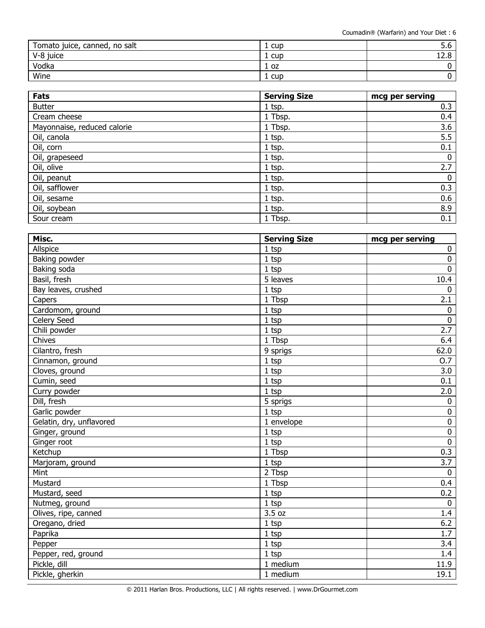| Tomato juice, canned, no salt | cup  | J.U            |
|-------------------------------|------|----------------|
| V-8 juice                     | cup  | $\sim$<br>14.O |
| Vodka                         | 1 oz |                |
| Wine                          | cup  |                |

| <b>Fats</b>                 | <b>Serving Size</b> | mcg per serving |
|-----------------------------|---------------------|-----------------|
| <b>Butter</b>               | $1$ tsp.            | 0.3             |
| Cream cheese                | 1 Tbsp.             | 0.4             |
| Mayonnaise, reduced calorie | 1 Tbsp.             | 3.6             |
| Oil, canola                 | $1$ tsp.            | 5.5             |
| Oil, corn                   | $1$ tsp.            | 0.1             |
| Oil, grapeseed              | 1 tsp.              | 0               |
| Oil, olive                  | $1$ tsp.            | 2.7             |
| Oil, peanut                 | 1 tsp.              | 0               |
| Oil, safflower              | $1$ tsp.            | 0.3             |
| Oil, sesame                 | $1$ tsp.            | 0.6             |
| Oil, soybean                | $1$ tsp.            | 8.9             |
| Sour cream                  | 1 Tbsp.             | 0.1             |

| Misc.                    | <b>Serving Size</b> | mcg per serving |
|--------------------------|---------------------|-----------------|
| Allspice                 | $1$ tsp             | $\mathbf 0$     |
| Baking powder            | $1$ tsp             | $\mathbf 0$     |
| Baking soda              | $1$ tsp             | $\mathbf 0$     |
| Basil, fresh             | 5 leaves            | 10.4            |
| Bay leaves, crushed      | $1$ tsp             | $\mathbf 0$     |
| Capers                   | 1 Tbsp              | 2.1             |
| Cardomom, ground         | $1$ tsp             | $\mathbf 0$     |
| Celery Seed              | $1$ tsp             | $\mathbf 0$     |
| Chili powder             | $1$ tsp             | 2.7             |
| Chives                   | 1 Tbsp              | 6.4             |
| Cilantro, fresh          | 9 sprigs            | 62.0            |
| Cinnamon, ground         | $1$ tsp             | 0.7             |
| Cloves, ground           | $1$ tsp             | 3.0             |
| Cumin, seed              | $1$ tsp             | 0.1             |
| Curry powder             | $1$ tsp             | 2.0             |
| Dill, fresh              | 5 sprigs            | $\mathbf 0$     |
| Garlic powder            | $1$ tsp             | $\mathbf 0$     |
| Gelatin, dry, unflavored | 1 envelope          | $\pmb{0}$       |
| Ginger, ground           | $1$ tsp             | $\pmb{0}$       |
| Ginger root              | 1 tsp               | $\mathbf 0$     |
| Ketchup                  | 1 Tbsp              | 0.3             |
| Marjoram, ground         | $1$ tsp             | 3.7             |
| Mint                     | 2 Tbsp              | $\mathbf 0$     |
| Mustard                  | 1 Tbsp              | 0.4             |
| Mustard, seed            | $1$ tsp             | 0.2             |
| Nutmeg, ground           | $1$ tsp             | $\Omega$        |
| Olives, ripe, canned     | 3.5 oz              | 1.4             |
| Oregano, dried           | 1 tsp               | 6.2             |
| Paprika                  | $1$ tsp             | 1.7             |
| Pepper                   | $1$ tsp             | 3.4             |
| Pepper, red, ground      | 1 tsp               | 1.4             |
| Pickle, dill             | 1 medium            | 11.9            |
| Pickle, gherkin          | 1 medium            | 19.1            |